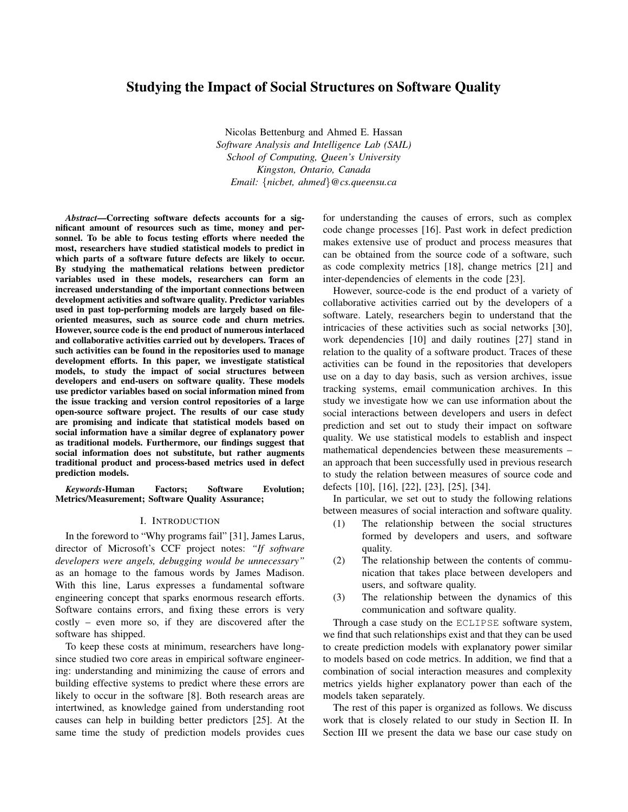# Studying the Impact of Social Structures on Software Quality

Nicolas Bettenburg and Ahmed E. Hassan *Software Analysis and Intelligence Lab (SAIL) School of Computing, Queen's University Kingston, Ontario, Canada Email:* {*nicbet, ahmed*}*@cs.queensu.ca*

*Abstract*—Correcting software defects accounts for a significant amount of resources such as time, money and personnel. To be able to focus testing efforts where needed the most, researchers have studied statistical models to predict in which parts of a software future defects are likely to occur. By studying the mathematical relations between predictor variables used in these models, researchers can form an increased understanding of the important connections between development activities and software quality. Predictor variables used in past top-performing models are largely based on fileoriented measures, such as source code and churn metrics. However, source code is the end product of numerous interlaced and collaborative activities carried out by developers. Traces of such activities can be found in the repositories used to manage development efforts. In this paper, we investigate statistical models, to study the impact of social structures between developers and end-users on software quality. These models use predictor variables based on social information mined from the issue tracking and version control repositories of a large open-source software project. The results of our case study are promising and indicate that statistical models based on social information have a similar degree of explanatory power as traditional models. Furthermore, our findings suggest that social information does not substitute, but rather augments traditional product and process-based metrics used in defect prediction models.

*Keywords*-Human Factors; Software Evolution; Metrics/Measurement; Software Quality Assurance;

#### I. INTRODUCTION

In the foreword to "Why programs fail" [31], James Larus, director of Microsoft's CCF project notes: *"If software developers were angels, debugging would be unnecessary"* as an homage to the famous words by James Madison. With this line, Larus expresses a fundamental software engineering concept that sparks enormous research efforts. Software contains errors, and fixing these errors is very costly – even more so, if they are discovered after the software has shipped.

To keep these costs at minimum, researchers have longsince studied two core areas in empirical software engineering: understanding and minimizing the cause of errors and building effective systems to predict where these errors are likely to occur in the software [8]. Both research areas are intertwined, as knowledge gained from understanding root causes can help in building better predictors [25]. At the same time the study of prediction models provides cues for understanding the causes of errors, such as complex code change processes [16]. Past work in defect prediction makes extensive use of product and process measures that can be obtained from the source code of a software, such as code complexity metrics [18], change metrics [21] and inter-dependencies of elements in the code [23].

However, source-code is the end product of a variety of collaborative activities carried out by the developers of a software. Lately, researchers begin to understand that the intricacies of these activities such as social networks [30], work dependencies [10] and daily routines [27] stand in relation to the quality of a software product. Traces of these activities can be found in the repositories that developers use on a day to day basis, such as version archives, issue tracking systems, email communication archives. In this study we investigate how we can use information about the social interactions between developers and users in defect prediction and set out to study their impact on software quality. We use statistical models to establish and inspect mathematical dependencies between these measurements – an approach that been successfully used in previous research to study the relation between measures of source code and defects [10], [16], [22], [23], [25], [34].

In particular, we set out to study the following relations between measures of social interaction and software quality.

- (1) The relationship between the social structures formed by developers and users, and software quality.
- (2) The relationship between the contents of communication that takes place between developers and users, and software quality.
- (3) The relationship between the dynamics of this communication and software quality.

Through a case study on the ECLIPSE software system, we find that such relationships exist and that they can be used to create prediction models with explanatory power similar to models based on code metrics. In addition, we find that a combination of social interaction measures and complexity metrics yields higher explanatory power than each of the models taken separately.

The rest of this paper is organized as follows. We discuss work that is closely related to our study in Section II. In Section III we present the data we base our case study on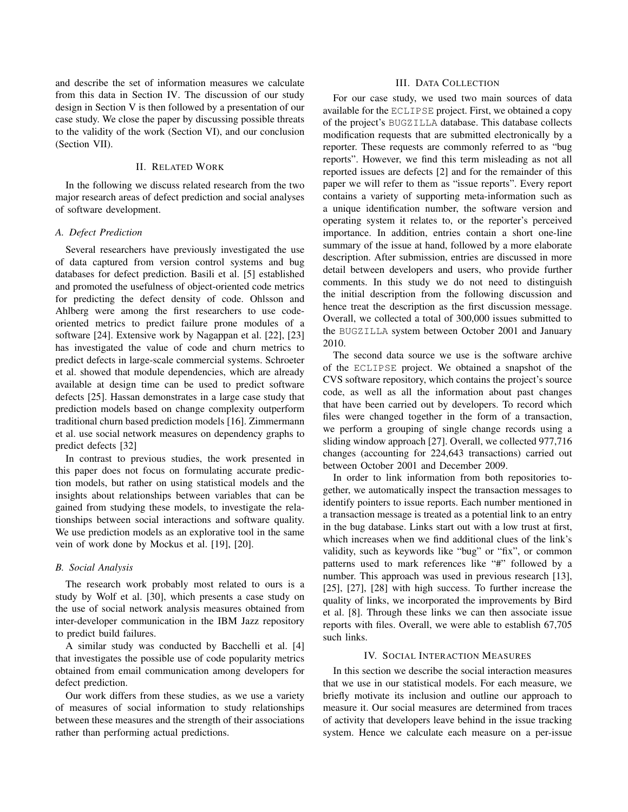and describe the set of information measures we calculate from this data in Section IV. The discussion of our study design in Section V is then followed by a presentation of our case study. We close the paper by discussing possible threats to the validity of the work (Section VI), and our conclusion (Section VII).

# II. RELATED WORK

In the following we discuss related research from the two major research areas of defect prediction and social analyses of software development.

# *A. Defect Prediction*

Several researchers have previously investigated the use of data captured from version control systems and bug databases for defect prediction. Basili et al. [5] established and promoted the usefulness of object-oriented code metrics for predicting the defect density of code. Ohlsson and Ahlberg were among the first researchers to use codeoriented metrics to predict failure prone modules of a software [24]. Extensive work by Nagappan et al. [22], [23] has investigated the value of code and churn metrics to predict defects in large-scale commercial systems. Schroeter et al. showed that module dependencies, which are already available at design time can be used to predict software defects [25]. Hassan demonstrates in a large case study that prediction models based on change complexity outperform traditional churn based prediction models [16]. Zimmermann et al. use social network measures on dependency graphs to predict defects [32]

In contrast to previous studies, the work presented in this paper does not focus on formulating accurate prediction models, but rather on using statistical models and the insights about relationships between variables that can be gained from studying these models, to investigate the relationships between social interactions and software quality. We use prediction models as an explorative tool in the same vein of work done by Mockus et al. [19], [20].

#### *B. Social Analysis*

The research work probably most related to ours is a study by Wolf et al. [30], which presents a case study on the use of social network analysis measures obtained from inter-developer communication in the IBM Jazz repository to predict build failures.

A similar study was conducted by Bacchelli et al. [4] that investigates the possible use of code popularity metrics obtained from email communication among developers for defect prediction.

Our work differs from these studies, as we use a variety of measures of social information to study relationships between these measures and the strength of their associations rather than performing actual predictions.

# III. DATA COLLECTION

For our case study, we used two main sources of data available for the ECLIPSE project. First, we obtained a copy of the project's BUGZILLA database. This database collects modification requests that are submitted electronically by a reporter. These requests are commonly referred to as "bug reports". However, we find this term misleading as not all reported issues are defects [2] and for the remainder of this paper we will refer to them as "issue reports". Every report contains a variety of supporting meta-information such as a unique identification number, the software version and operating system it relates to, or the reporter's perceived importance. In addition, entries contain a short one-line summary of the issue at hand, followed by a more elaborate description. After submission, entries are discussed in more detail between developers and users, who provide further comments. In this study we do not need to distinguish the initial description from the following discussion and hence treat the description as the first discussion message. Overall, we collected a total of 300,000 issues submitted to the BUGZILLA system between October 2001 and January 2010.

The second data source we use is the software archive of the ECLIPSE project. We obtained a snapshot of the CVS software repository, which contains the project's source code, as well as all the information about past changes that have been carried out by developers. To record which files were changed together in the form of a transaction, we perform a grouping of single change records using a sliding window approach [27]. Overall, we collected 977,716 changes (accounting for 224,643 transactions) carried out between October 2001 and December 2009.

In order to link information from both repositories together, we automatically inspect the transaction messages to identify pointers to issue reports. Each number mentioned in a transaction message is treated as a potential link to an entry in the bug database. Links start out with a low trust at first, which increases when we find additional clues of the link's validity, such as keywords like "bug" or "fix", or common patterns used to mark references like "#" followed by a number. This approach was used in previous research [13], [25], [27], [28] with high success. To further increase the quality of links, we incorporated the improvements by Bird et al. [8]. Through these links we can then associate issue reports with files. Overall, we were able to establish 67,705 such links.

### IV. SOCIAL INTERACTION MEASURES

In this section we describe the social interaction measures that we use in our statistical models. For each measure, we briefly motivate its inclusion and outline our approach to measure it. Our social measures are determined from traces of activity that developers leave behind in the issue tracking system. Hence we calculate each measure on a per-issue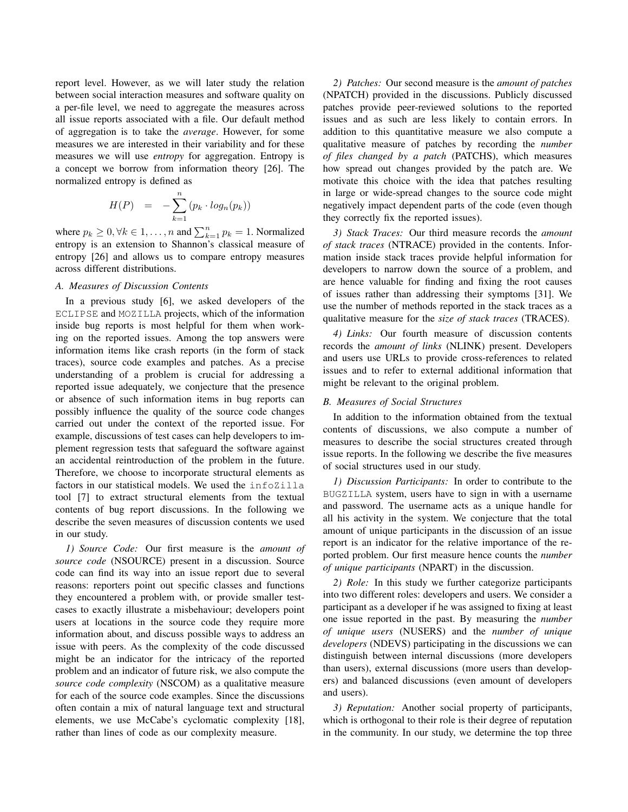report level. However, as we will later study the relation between social interaction measures and software quality on a per-file level, we need to aggregate the measures across all issue reports associated with a file. Our default method of aggregation is to take the *average*. However, for some measures we are interested in their variability and for these measures we will use *entropy* for aggregation. Entropy is a concept we borrow from information theory [26]. The normalized entropy is defined as

$$
H(P) = -\sum_{k=1}^{n} (p_k \cdot log_n(p_k))
$$

where  $p_k \geq 0, \forall k \in 1, \dots, n$  and  $\sum_{k=1}^n p_k = 1$ . Normalized entropy is an extension to Shannon's classical measure of entropy [26] and allows us to compare entropy measures across different distributions.

# *A. Measures of Discussion Contents*

In a previous study [6], we asked developers of the ECLIPSE and MOZILLA projects, which of the information inside bug reports is most helpful for them when working on the reported issues. Among the top answers were information items like crash reports (in the form of stack traces), source code examples and patches. As a precise understanding of a problem is crucial for addressing a reported issue adequately, we conjecture that the presence or absence of such information items in bug reports can possibly influence the quality of the source code changes carried out under the context of the reported issue. For example, discussions of test cases can help developers to implement regression tests that safeguard the software against an accidental reintroduction of the problem in the future. Therefore, we choose to incorporate structural elements as factors in our statistical models. We used the infoZilla tool [7] to extract structural elements from the textual contents of bug report discussions. In the following we describe the seven measures of discussion contents we used in our study.

*1) Source Code:* Our first measure is the *amount of source code* (NSOURCE) present in a discussion. Source code can find its way into an issue report due to several reasons: reporters point out specific classes and functions they encountered a problem with, or provide smaller testcases to exactly illustrate a misbehaviour; developers point users at locations in the source code they require more information about, and discuss possible ways to address an issue with peers. As the complexity of the code discussed might be an indicator for the intricacy of the reported problem and an indicator of future risk, we also compute the *source code complexity* (NSCOM) as a qualitative measure for each of the source code examples. Since the discussions often contain a mix of natural language text and structural elements, we use McCabe's cyclomatic complexity [18], rather than lines of code as our complexity measure.

*2) Patches:* Our second measure is the *amount of patches* (NPATCH) provided in the discussions. Publicly discussed patches provide peer-reviewed solutions to the reported issues and as such are less likely to contain errors. In addition to this quantitative measure we also compute a qualitative measure of patches by recording the *number of files changed by a patch* (PATCHS), which measures how spread out changes provided by the patch are. We motivate this choice with the idea that patches resulting in large or wide-spread changes to the source code might negatively impact dependent parts of the code (even though they correctly fix the reported issues).

*3) Stack Traces:* Our third measure records the *amount of stack traces* (NTRACE) provided in the contents. Information inside stack traces provide helpful information for developers to narrow down the source of a problem, and are hence valuable for finding and fixing the root causes of issues rather than addressing their symptoms [31]. We use the number of methods reported in the stack traces as a qualitative measure for the *size of stack traces* (TRACES).

*4) Links:* Our fourth measure of discussion contents records the *amount of links* (NLINK) present. Developers and users use URLs to provide cross-references to related issues and to refer to external additional information that might be relevant to the original problem.

### *B. Measures of Social Structures*

In addition to the information obtained from the textual contents of discussions, we also compute a number of measures to describe the social structures created through issue reports. In the following we describe the five measures of social structures used in our study.

*1) Discussion Participants:* In order to contribute to the BUGZILLA system, users have to sign in with a username and password. The username acts as a unique handle for all his activity in the system. We conjecture that the total amount of unique participants in the discussion of an issue report is an indicator for the relative importance of the reported problem. Our first measure hence counts the *number of unique participants* (NPART) in the discussion.

*2) Role:* In this study we further categorize participants into two different roles: developers and users. We consider a participant as a developer if he was assigned to fixing at least one issue reported in the past. By measuring the *number of unique users* (NUSERS) and the *number of unique developers* (NDEVS) participating in the discussions we can distinguish between internal discussions (more developers than users), external discussions (more users than developers) and balanced discussions (even amount of developers and users).

*3) Reputation:* Another social property of participants, which is orthogonal to their role is their degree of reputation in the community. In our study, we determine the top three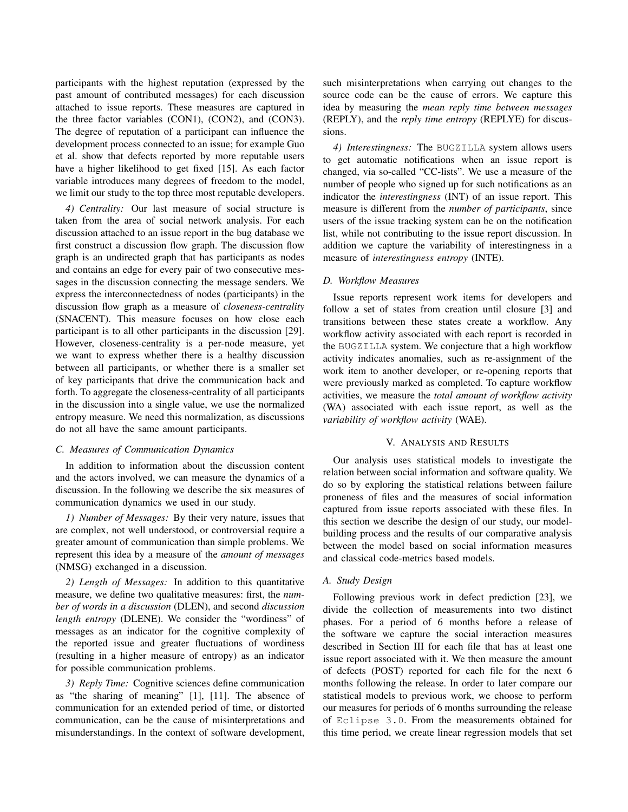participants with the highest reputation (expressed by the past amount of contributed messages) for each discussion attached to issue reports. These measures are captured in the three factor variables (CON1), (CON2), and (CON3). The degree of reputation of a participant can influence the development process connected to an issue; for example Guo et al. show that defects reported by more reputable users have a higher likelihood to get fixed [15]. As each factor variable introduces many degrees of freedom to the model, we limit our study to the top three most reputable developers.

*4) Centrality:* Our last measure of social structure is taken from the area of social network analysis. For each discussion attached to an issue report in the bug database we first construct a discussion flow graph. The discussion flow graph is an undirected graph that has participants as nodes and contains an edge for every pair of two consecutive messages in the discussion connecting the message senders. We express the interconnectedness of nodes (participants) in the discussion flow graph as a measure of *closeness-centrality* (SNACENT). This measure focuses on how close each participant is to all other participants in the discussion [29]. However, closeness-centrality is a per-node measure, yet we want to express whether there is a healthy discussion between all participants, or whether there is a smaller set of key participants that drive the communication back and forth. To aggregate the closeness-centrality of all participants in the discussion into a single value, we use the normalized entropy measure. We need this normalization, as discussions do not all have the same amount participants.

# *C. Measures of Communication Dynamics*

In addition to information about the discussion content and the actors involved, we can measure the dynamics of a discussion. In the following we describe the six measures of communication dynamics we used in our study.

*1) Number of Messages:* By their very nature, issues that are complex, not well understood, or controversial require a greater amount of communication than simple problems. We represent this idea by a measure of the *amount of messages* (NMSG) exchanged in a discussion.

*2) Length of Messages:* In addition to this quantitative measure, we define two qualitative measures: first, the *number of words in a discussion* (DLEN), and second *discussion length entropy* (DLENE). We consider the "wordiness" of messages as an indicator for the cognitive complexity of the reported issue and greater fluctuations of wordiness (resulting in a higher measure of entropy) as an indicator for possible communication problems.

*3) Reply Time:* Cognitive sciences define communication as "the sharing of meaning" [1], [11]. The absence of communication for an extended period of time, or distorted communication, can be the cause of misinterpretations and misunderstandings. In the context of software development, such misinterpretations when carrying out changes to the source code can be the cause of errors. We capture this idea by measuring the *mean reply time between messages* (REPLY), and the *reply time entropy* (REPLYE) for discussions.

*4) Interestingness:* The BUGZILLA system allows users to get automatic notifications when an issue report is changed, via so-called "CC-lists". We use a measure of the number of people who signed up for such notifications as an indicator the *interestingness* (INT) of an issue report. This measure is different from the *number of participants*, since users of the issue tracking system can be on the notification list, while not contributing to the issue report discussion. In addition we capture the variability of interestingness in a measure of *interestingness entropy* (INTE).

# *D. Workflow Measures*

Issue reports represent work items for developers and follow a set of states from creation until closure [3] and transitions between these states create a workflow. Any workflow activity associated with each report is recorded in the BUGZILLA system. We conjecture that a high workflow activity indicates anomalies, such as re-assignment of the work item to another developer, or re-opening reports that were previously marked as completed. To capture workflow activities, we measure the *total amount of workflow activity* (WA) associated with each issue report, as well as the *variability of workflow activity* (WAE).

# V. ANALYSIS AND RESULTS

Our analysis uses statistical models to investigate the relation between social information and software quality. We do so by exploring the statistical relations between failure proneness of files and the measures of social information captured from issue reports associated with these files. In this section we describe the design of our study, our modelbuilding process and the results of our comparative analysis between the model based on social information measures and classical code-metrics based models.

#### *A. Study Design*

Following previous work in defect prediction [23], we divide the collection of measurements into two distinct phases. For a period of 6 months before a release of the software we capture the social interaction measures described in Section III for each file that has at least one issue report associated with it. We then measure the amount of defects (POST) reported for each file for the next 6 months following the release. In order to later compare our statistical models to previous work, we choose to perform our measures for periods of 6 months surrounding the release of Eclipse 3.0. From the measurements obtained for this time period, we create linear regression models that set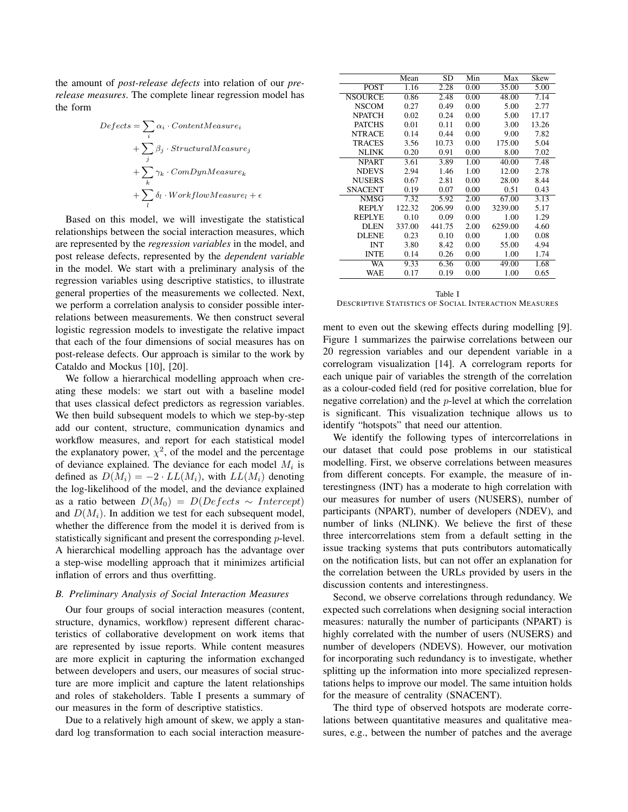the amount of *post-release defects* into relation of our *prerelease measures*. The complete linear regression model has the form

$$
Defects = \sum_{i} \alpha_i \cdot ContentMeasure_i
$$
  
+
$$
\sum_{j} \beta_j \cdot StructuralMeasure_j
$$
  
+
$$
\sum_{k} \gamma_k \cdot CompynMeasure_k
$$
  
+
$$
\sum_{l} \delta_l \cdot WorkflowMeasure_l + \epsilon
$$

Based on this model, we will investigate the statistical relationships between the social interaction measures, which are represented by the *regression variables* in the model, and post release defects, represented by the *dependent variable* in the model. We start with a preliminary analysis of the regression variables using descriptive statistics, to illustrate general properties of the measurements we collected. Next, we perform a correlation analysis to consider possible interrelations between measurements. We then construct several logistic regression models to investigate the relative impact that each of the four dimensions of social measures has on post-release defects. Our approach is similar to the work by Cataldo and Mockus [10], [20].

We follow a hierarchical modelling approach when creating these models: we start out with a baseline model that uses classical defect predictors as regression variables. We then build subsequent models to which we step-by-step add our content, structure, communication dynamics and workflow measures, and report for each statistical model the explanatory power,  $\chi^2$ , of the model and the percentage of deviance explained. The deviance for each model  $M_i$  is defined as  $D(M_i) = -2 \cdot LL(M_i)$ , with  $LL(M_i)$  denoting the log-likelihood of the model, and the deviance explained as a ratio between  $D(M_0) = D(Defects \sim Intercept)$ and  $D(M_i)$ . In addition we test for each subsequent model, whether the difference from the model it is derived from is statistically significant and present the corresponding p-level. A hierarchical modelling approach has the advantage over a step-wise modelling approach that it minimizes artificial inflation of errors and thus overfitting.

#### *B. Preliminary Analysis of Social Interaction Measures*

Our four groups of social interaction measures (content, structure, dynamics, workflow) represent different characteristics of collaborative development on work items that are represented by issue reports. While content measures are more explicit in capturing the information exchanged between developers and users, our measures of social structure are more implicit and capture the latent relationships and roles of stakeholders. Table I presents a summary of our measures in the form of descriptive statistics.

Due to a relatively high amount of skew, we apply a standard log transformation to each social interaction measure-

|                | Mean   | <b>SD</b> | Min  | Max     | Skew  |
|----------------|--------|-----------|------|---------|-------|
| <b>POST</b>    | 1.16   | 2.28      | 0.00 | 35.00   | 5.00  |
| <b>NSOURCE</b> | 0.86   | 2.48      | 0.00 | 48.00   | 7.14  |
| <b>NSCOM</b>   | 0.27   | 0.49      | 0.00 | 5.00    | 2.77  |
| <b>NPATCH</b>  | 0.02   | 0.24      | 0.00 | 5.00    | 17.17 |
| <b>PATCHS</b>  | 0.01   | 0.11      | 0.00 | 3.00    | 13.26 |
| <b>NTRACE</b>  | 0.14   | 0.44      | 0.00 | 9.00    | 7.82  |
| <b>TRACES</b>  | 3.56   | 10.73     | 0.00 | 175.00  | 5.04  |
| <b>NLINK</b>   | 0.20   | 0.91      | 0.00 | 8.00    | 7.02  |
| <b>NPART</b>   | 3.61   | 3.89      | 1.00 | 40.00   | 7.48  |
| <b>NDEVS</b>   | 2.94   | 1.46      | 1.00 | 12.00   | 2.78  |
| <b>NUSERS</b>  | 0.67   | 2.81      | 0.00 | 28.00   | 8.44  |
| <b>SNACENT</b> | 0.19   | 0.07      | 0.00 | 0.51    | 0.43  |
| <b>NMSG</b>    | 7.32   | 5.92      | 2.00 | 67.00   | 3.13  |
| <b>REPLY</b>   | 122.32 | 206.99    | 0.00 | 3239.00 | 5.17  |
| <b>REPLYE</b>  | 0.10   | 0.09      | 0.00 | 1.00    | 1.29  |
| <b>DLEN</b>    | 337.00 | 441.75    | 2.00 | 6259.00 | 4.60  |
| <b>DLENE</b>   | 0.23   | 0.10      | 0.00 | 1.00    | 0.08  |
| <b>INT</b>     | 3.80   | 8.42      | 0.00 | 55.00   | 4.94  |
| <b>INTE</b>    | 0.14   | 0.26      | 0.00 | 1.00    | 1.74  |
| WA             | 9.33   | 6.36      | 0.00 | 49.00   | 1.68  |
| WAE            | 0.17   | 0.19      | 0.00 | 1.00    | 0.65  |

Table I DESCRIPTIVE STATISTICS OF SOCIAL INTERACTION MEASURES

ment to even out the skewing effects during modelling [9]. Figure 1 summarizes the pairwise correlations between our 20 regression variables and our dependent variable in a correlogram visualization [14]. A correlogram reports for each unique pair of variables the strength of the correlation as a colour-coded field (red for positive correlation, blue for negative correlation) and the p-level at which the correlation is significant. This visualization technique allows us to identify "hotspots" that need our attention.

We identify the following types of intercorrelations in our dataset that could pose problems in our statistical modelling. First, we observe correlations between measures from different concepts. For example, the measure of interestingness (INT) has a moderate to high correlation with our measures for number of users (NUSERS), number of participants (NPART), number of developers (NDEV), and number of links (NLINK). We believe the first of these three intercorrelations stem from a default setting in the issue tracking systems that puts contributors automatically on the notification lists, but can not offer an explanation for the correlation between the URLs provided by users in the discussion contents and interestingness.

Second, we observe correlations through redundancy. We expected such correlations when designing social interaction measures: naturally the number of participants (NPART) is highly correlated with the number of users (NUSERS) and number of developers (NDEVS). However, our motivation for incorporating such redundancy is to investigate, whether splitting up the information into more specialized representations helps to improve our model. The same intuition holds for the measure of centrality (SNACENT).

The third type of observed hotspots are moderate correlations between quantitative measures and qualitative measures, e.g., between the number of patches and the average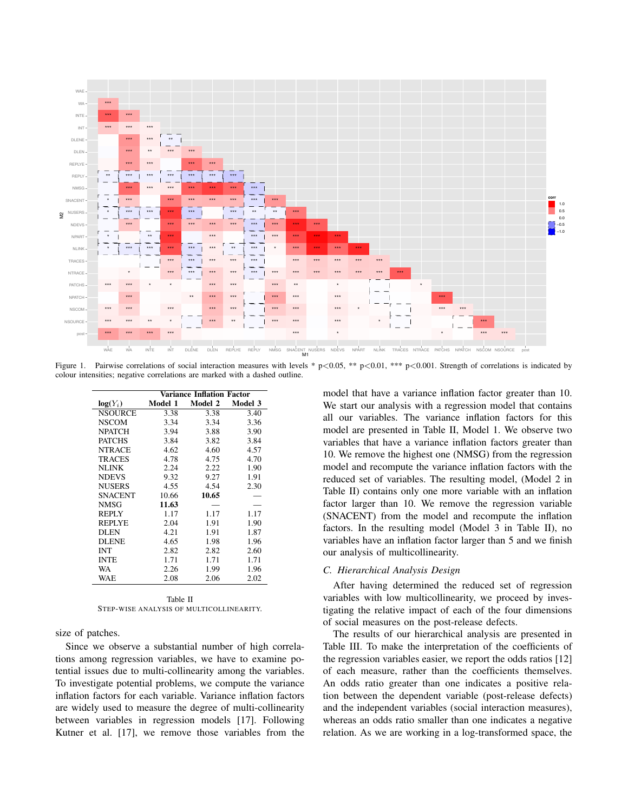

 $p<0.05$ , \*\*  $p<0.01$ , \*\*\*  $p<0.001$ . Strength of correlations is indicated by Figure 1. Pairwise correlations of social interaction measures with levels colour intensities; negative correlations are marked with a dashed outline.

|                | Variance Inflation Factor |         |         |  |  |  |
|----------------|---------------------------|---------|---------|--|--|--|
| $log(Y_i)$     | Model 1                   | Model 2 | Model 3 |  |  |  |
| <b>NSOURCE</b> | 3.38                      | 3.38    | 3.40    |  |  |  |
| <b>NSCOM</b>   | 3.34                      | 3.34    | 3.36    |  |  |  |
| <b>NPATCH</b>  | 3.94                      | 3.88    | 3.90    |  |  |  |
| <b>PATCHS</b>  | 3.84                      | 3.82    | 3.84    |  |  |  |
| <b>NTRACE</b>  | 4.62                      | 4.60    | 4.57    |  |  |  |
| <b>TRACES</b>  | 4.78                      | 4.75    | 4.70    |  |  |  |
| <b>NLINK</b>   | 2.24                      | 2.22    | 1.90    |  |  |  |
| <b>NDEVS</b>   | 9.32                      | 9.27    | 1.91    |  |  |  |
| <b>NUSERS</b>  | 4.55                      | 4.54    | 2.30    |  |  |  |
| <b>SNACENT</b> | 10.66                     | 10.65   |         |  |  |  |
| <b>NMSG</b>    | 11.63                     |         |         |  |  |  |
| <b>REPLY</b>   | 1.17                      | 1.17    | 1.17    |  |  |  |
| <b>REPLYE</b>  | 2.04                      | 1.91    | 1.90    |  |  |  |
| <b>DLEN</b>    | 4.21                      | 1.91    | 1.87    |  |  |  |
| <b>DLENE</b>   | 4.65                      | 1.98    | 1.96    |  |  |  |
| <b>INT</b>     | 2.82                      | 2.82    | 2.60    |  |  |  |
| <b>INTE</b>    | 1.71                      | 1.71    | 1.71    |  |  |  |
| <b>WA</b>      | 2.26                      | 1.99    | 1.96    |  |  |  |
| WAE            | 2.08                      | 2.06    | 2.02    |  |  |  |
|                |                           |         |         |  |  |  |

| Table II |  |                                          |  |  |  |  |  |
|----------|--|------------------------------------------|--|--|--|--|--|
|          |  | STEP-WISE ANALYSIS OF MULTICOLLINEARITY. |  |  |  |  |  |

size of patches.

Since we observe a substantial number of high correlations among regression variables, we have to examine potential issues due to multi-collinearity among the variables. To investigate potential problems, we compute the variance inflation factors for each variable. Variance inflation factors are widely used to measure the degree of multi-collinearity between variables in regression models [17]. Following Kutner et al. [17], we remove those variables from the model that have a variance inflation factor greater than 10. We start our analysis with a regression model that contains all our variables. The variance inflation factors for this model are presented in Table II, Model 1. We observe two variables that have a variance inflation factors greater than 10. We remove the highest one (NMSG) from the regression model and recompute the variance inflation factors with the reduced set of variables. The resulting model, (Model 2 in Table II) contains only one more variable with an inflation factor larger than 10. We remove the regression variable (SNACENT) from the model and recompute the inflation factors. In the resulting model (Model 3 in Table II), no variables have an inflation factor larger than 5 and we finish our analysis of multicollinearity.

#### C. Hierarchical Analysis Design

After having determined the reduced set of regression variables with low multicollinearity, we proceed by investigating the relative impact of each of the four dimensions of social measures on the post-release defects.

The results of our hierarchical analysis are presented in Table III. To make the interpretation of the coefficients of the regression variables easier, we report the odds ratios [12] of each measure, rather than the coefficients themselves. An odds ratio greater than one indicates a positive relation between the dependent variable (post-release defects) and the independent variables (social interaction measures), whereas an odds ratio smaller than one indicates a negative relation. As we are working in a log-transformed space, the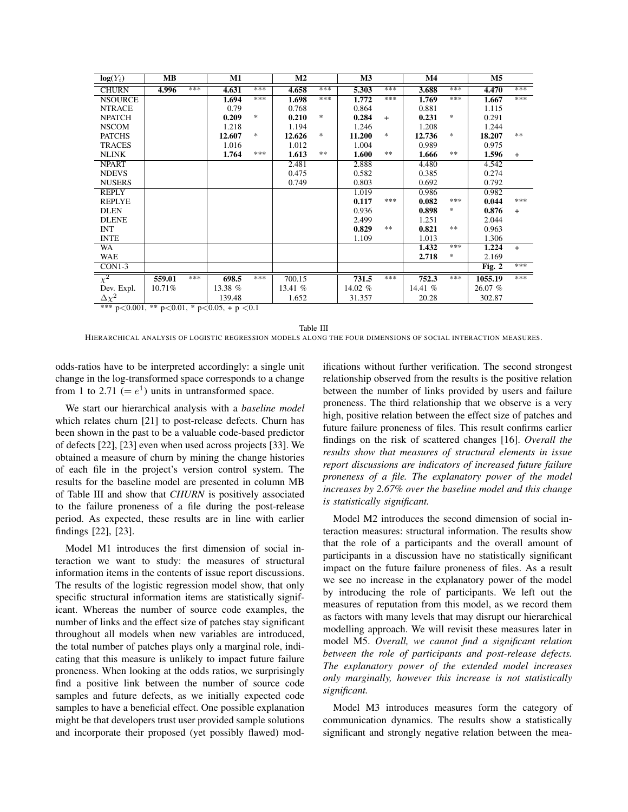| $log(Y_i)$                                                   | MВ     |     | M1      |               | M <sub>2</sub> |               | M3      |        | M4      |     | M <sub>5</sub> |     |
|--------------------------------------------------------------|--------|-----|---------|---------------|----------------|---------------|---------|--------|---------|-----|----------------|-----|
| <b>CHURN</b>                                                 | 4.996  | *** | 4.631   | ***           | 4.658          | ***           | 5.303   | ***    | 3.688   | *** | 4.470          | *** |
| <b>NSOURCE</b>                                               |        |     | 1.694   | ***           | 1.698          | ***           | 1.772   | ***    | 1.769   | *** | 1.667          | *** |
| <b>NTRACE</b>                                                |        |     | 0.79    |               | 0.768          |               | 0.864   |        | 0.881   |     | 1.115          |     |
| <b>NPATCH</b>                                                |        |     | 0.209   | $\ast$        | 0.210          | $\frac{1}{2}$ | 0.284   | $+$    | 0.231   | $*$ | 0.291          |     |
| <b>NSCOM</b>                                                 |        |     | 1.218   |               | 1.194          |               | 1.246   |        | 1.208   |     | 1.244          |     |
| <b>PATCHS</b>                                                |        |     | 12.607  | $\frac{1}{2}$ | 12.626         | *             | 11.200  | $\ast$ | 12.736  | $*$ | 18.207         | **  |
| <b>TRACES</b>                                                |        |     | 1.016   |               | 1.012          |               | 1.004   |        | 0.989   |     | 0.975          |     |
| <b>NLINK</b>                                                 |        |     | 1.764   | ***           | 1.613          | **            | 1.600   | **     | 1.666   | **  | 1.596          | $+$ |
| <b>NPART</b>                                                 |        |     |         |               | 2.481          |               | 2.888   |        | 4.480   |     | 4.542          |     |
| <b>NDEVS</b>                                                 |        |     |         |               | 0.475          |               | 0.582   |        | 0.385   |     | 0.274          |     |
| <b>NUSERS</b>                                                |        |     |         |               | 0.749          |               | 0.803   |        | 0.692   |     | 0.792          |     |
| <b>REPLY</b>                                                 |        |     |         |               |                |               | 1.019   |        | 0.986   |     | 0.982          |     |
| <b>REPLYE</b>                                                |        |     |         |               |                |               | 0.117   | ***    | 0.082   | *** | 0.044          | *** |
| <b>DLEN</b>                                                  |        |     |         |               |                |               | 0.936   |        | 0.898   | $*$ | 0.876          | $+$ |
| <b>DLENE</b>                                                 |        |     |         |               |                |               | 2.499   |        | 1.251   |     | 2.044          |     |
| <b>INT</b>                                                   |        |     |         |               |                |               | 0.829   | $**$   | 0.821   | **  | 0.963          |     |
| <b>INTE</b>                                                  |        |     |         |               |                |               | 1.109   |        | 1.013   |     | 1.306          |     |
| <b>WA</b>                                                    |        |     |         |               |                |               |         |        | 1.432   | *** | 1.224          | $+$ |
| <b>WAE</b>                                                   |        |     |         |               |                |               |         |        | 2.718   | *   | 2.169          |     |
| $CON1-3$                                                     |        |     |         |               |                |               |         |        |         |     | Fig. $2$       | *** |
| $\overline{\chi^2}$                                          | 559.01 | *** | 698.5   | ***           | 700.15         |               | 731.5   | ***    | 752.3   | *** | 1055.19        | *** |
| Dev. Expl.                                                   | 10.71% |     | 13.38 % |               | 13.41 %        |               | 14.02 % |        | 14.41 % |     | 26.07 %        |     |
| $\Delta\chi^2$                                               |        |     | 139.48  |               | 1.652          |               | 31.357  |        | 20.28   |     | 302.87         |     |
| *** $p < 0.001$ , ** $p < 0.01$ , * $p < 0.05$ , + $p < 0.1$ |        |     |         |               |                |               |         |        |         |     |                |     |

Table III

HIERARCHICAL ANALYSIS OF LOGISTIC REGRESSION MODELS ALONG THE FOUR DIMENSIONS OF SOCIAL INTERACTION MEASURES.

odds-ratios have to be interpreted accordingly: a single unit change in the log-transformed space corresponds to a change from 1 to 2.71 (=  $e^1$ ) units in untransformed space.

We start our hierarchical analysis with a baseline model which relates churn [21] to post-release defects. Churn has been shown in the past to be a valuable code-based predictor of defects [22], [23] even when used across projects [33]. We obtained a measure of churn by mining the change histories of each file in the project's version control system. The results for the baseline model are presented in column MB of Table III and show that CHURN is positively associated to the failure proneness of a file during the post-release period. As expected, these results are in line with earlier findings [22], [23].

Model M1 introduces the first dimension of social interaction we want to study: the measures of structural information items in the contents of issue report discussions. The results of the logistic regression model show, that only specific structural information items are statistically significant. Whereas the number of source code examples, the number of links and the effect size of patches stay significant throughout all models when new variables are introduced, the total number of patches plays only a marginal role, indicating that this measure is unlikely to impact future failure proneness. When looking at the odds ratios, we surprisingly find a positive link between the number of source code samples and future defects, as we initially expected code samples to have a beneficial effect. One possible explanation might be that developers trust user provided sample solutions and incorporate their proposed (yet possibly flawed) modifications without further verification. The second strongest relationship observed from the results is the positive relation between the number of links provided by users and failure proneness. The third relationship that we observe is a very high, positive relation between the effect size of patches and future failure proneness of files. This result confirms earlier findings on the risk of scattered changes [16]. Overall the results show that measures of structural elements in issue report discussions are indicators of increased future failure proneness of a file. The explanatory power of the model increases by 2.67% over the baseline model and this change is statistically significant.

Model M2 introduces the second dimension of social interaction measures: structural information. The results show that the role of a participants and the overall amount of participants in a discussion have no statistically significant impact on the future failure proneness of files. As a result we see no increase in the explanatory power of the model by introducing the role of participants. We left out the measures of reputation from this model, as we record them as factors with many levels that may disrupt our hierarchical modelling approach. We will revisit these measures later in model M5. Overall, we cannot find a significant relation between the role of participants and post-release defects. The explanatory power of the extended model increases only marginally, however this increase is not statistically significant.

Model M3 introduces measures form the category of communication dynamics. The results show a statistically significant and strongly negative relation between the mea-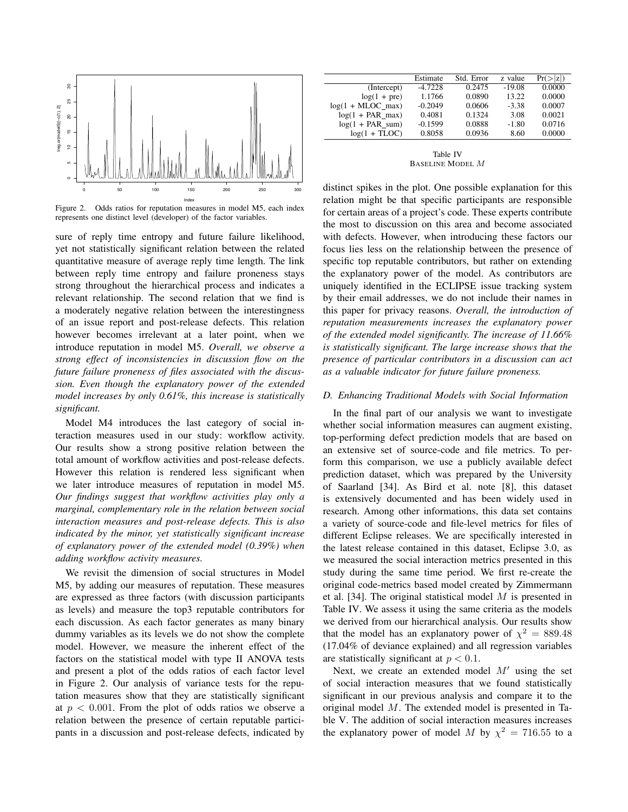

Figure 2. Odds ratios for reputation measures in model M5, each index represents one distinct level (developer) of the factor variables.

sure of reply time entropy and future failure likelihood, yet not statistically significant relation between the related quantitative measure of average reply time length. The link between reply time entropy and failure proneness stays strong throughout the hierarchical process and indicates a relevant relationship. The second relation that we find is a moderately negative relation between the interestingness of an issue report and post-release defects. This relation however becomes irrelevant at a later point, when we introduce reputation in model M5. *Overall, we observe a strong effect of inconsistencies in discussion flow on the future failure proneness of files associated with the discussion. Even though the explanatory power of the extended model increases by only 0.61%, this increase is statistically significant.*

Model M4 introduces the last category of social interaction measures used in our study: workflow activity. Our results show a strong positive relation between the total amount of workflow activities and post-release defects. However this relation is rendered less significant when we later introduce measures of reputation in model M5. *Our findings suggest that workflow activities play only a marginal, complementary role in the relation between social interaction measures and post-release defects. This is also indicated by the minor, yet statistically significant increase of explanatory power of the extended model (0.39%) when adding workflow activity measures.*

We revisit the dimension of social structures in Model M5, by adding our measures of reputation. These measures are expressed as three factors (with discussion participants as levels) and measure the top3 reputable contributors for each discussion. As each factor generates as many binary dummy variables as its levels we do not show the complete model. However, we measure the inherent effect of the factors on the statistical model with type II ANOVA tests and present a plot of the odds ratios of each factor level in Figure 2. Our analysis of variance tests for the reputation measures show that they are statistically significant at  $p < 0.001$ . From the plot of odds ratios we observe a relation between the presence of certain reputable participants in a discussion and post-release defects, indicated by

|                       | Estimate  | Std. Error | z value  | $Pr(>\vert z \vert)$ |
|-----------------------|-----------|------------|----------|----------------------|
| (Intercept)           | $-4.7228$ | 0.2475     | $-19.08$ | 0.0000               |
| $log(1 + pre)$        | 1.1766    | 0.0890     | 13.22    | 0.0000               |
| $log(1 + MLOC$ max)   | $-0.2049$ | 0.0606     | $-3.38$  | 0.0007               |
| $log(1 + PAR_max)$    | 0.4081    | 0.1324     | 3.08     | 0.0021               |
| $log(1 + PAR \, sum)$ | $-0.1599$ | 0.0888     | $-1.80$  | 0.0716               |
| $log(1 + TLOC)$       | 0.8058    | 0.0936     | 8.60     | 0.0000               |
|                       |           |            |          |                      |

Table IV BASELINE MODEL M

distinct spikes in the plot. One possible explanation for this relation might be that specific participants are responsible for certain areas of a project's code. These experts contribute the most to discussion on this area and become associated with defects. However, when introducing these factors our focus lies less on the relationship between the presence of specific top reputable contributors, but rather on extending the explanatory power of the model. As contributors are uniquely identified in the ECLIPSE issue tracking system by their email addresses, we do not include their names in this paper for privacy reasons. *Overall, the introduction of reputation measurements increases the explanatory power of the extended model significantly. The increase of 11.66% is statistically significant. The large increase shows that the presence of particular contributors in a discussion can act as a valuable indicator for future failure proneness.*

# *D. Enhancing Traditional Models with Social Information*

In the final part of our analysis we want to investigate whether social information measures can augment existing, top-performing defect prediction models that are based on an extensive set of source-code and file metrics. To perform this comparison, we use a publicly available defect prediction dataset, which was prepared by the University of Saarland [34]. As Bird et al. note [8], this dataset is extensively documented and has been widely used in research. Among other informations, this data set contains a variety of source-code and file-level metrics for files of different Eclipse releases. We are specifically interested in the latest release contained in this dataset, Eclipse 3.0, as we measured the social interaction metrics presented in this study during the same time period. We first re-create the original code-metrics based model created by Zimmermann et al. [34]. The original statistical model  $M$  is presented in Table IV. We assess it using the same criteria as the models we derived from our hierarchical analysis. Our results show that the model has an explanatory power of  $\chi^2 = 889.48$ (17.04% of deviance explained) and all regression variables are statistically significant at  $p < 0.1$ .

Next, we create an extended model  $M'$  using the set of social interaction measures that we found statistically significant in our previous analysis and compare it to the original model M. The extended model is presented in Table V. The addition of social interaction measures increases the explanatory power of model M by  $\chi^2 = 716.55$  to a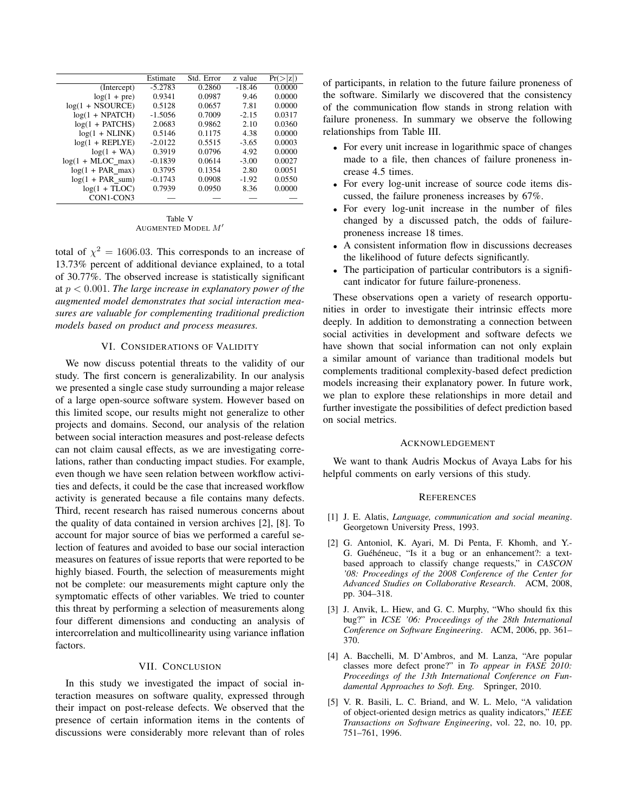|                         | Estimate  | Std. Error | z value  | Pr(> z ) |
|-------------------------|-----------|------------|----------|----------|
| (Intercept)             | $-5.2783$ | 0.2860     | $-18.46$ | 0.0000   |
| $log(1 + pre)$          | 0.9341    | 0.0987     | 9.46     | 0.0000   |
| $log(1 + NSOURCE)$      | 0.5128    | 0.0657     | 7.81     | 0.0000   |
| $log(1 + NPATCH)$       | $-1.5056$ | 0.7009     | $-2.15$  | 0.0317   |
| $log(1 + PATCHS)$       | 2.0683    | 0.9862     | 2.10     | 0.0360   |
| $log(1 + \text{NLINK})$ | 0.5146    | 0.1175     | 4.38     | 0.0000   |
| $log(1 + REPLYE)$       | $-2.0122$ | 0.5515     | $-3.65$  | 0.0003   |
| $log(1 + WA)$           | 0.3919    | 0.0796     | 4.92     | 0.0000   |
| $log(1 + MLOC_max)$     | $-0.1839$ | 0.0614     | $-3.00$  | 0.0027   |
| $log(1 + PAR_max)$      | 0.3795    | 0.1354     | 2.80     | 0.0051   |
| $log(1 + PAR\_sum)$     | $-0.1743$ | 0.0908     | $-1.92$  | 0.0550   |
| $log(1 + TLOC)$         | 0.7939    | 0.0950     | 8.36     | 0.0000   |
| CON1-CON3               |           |            |          |          |

Table V AUGMENTED MODEL  $M'$ 

total of  $\chi^2 = 1606.03$ . This corresponds to an increase of 13.73% percent of additional deviance explained, to a total of 30.77%. The observed increase is statistically significant at p < 0.001. *The large increase in explanatory power of the augmented model demonstrates that social interaction measures are valuable for complementing traditional prediction models based on product and process measures.*

### VI. CONSIDERATIONS OF VALIDITY

We now discuss potential threats to the validity of our study. The first concern is generalizability. In our analysis we presented a single case study surrounding a major release of a large open-source software system. However based on this limited scope, our results might not generalize to other projects and domains. Second, our analysis of the relation between social interaction measures and post-release defects can not claim causal effects, as we are investigating correlations, rather than conducting impact studies. For example, even though we have seen relation between workflow activities and defects, it could be the case that increased workflow activity is generated because a file contains many defects. Third, recent research has raised numerous concerns about the quality of data contained in version archives [2], [8]. To account for major source of bias we performed a careful selection of features and avoided to base our social interaction measures on features of issue reports that were reported to be highly biased. Fourth, the selection of measurements might not be complete: our measurements might capture only the symptomatic effects of other variables. We tried to counter this threat by performing a selection of measurements along four different dimensions and conducting an analysis of intercorrelation and multicollinearity using variance inflation factors.

### VII. CONCLUSION

In this study we investigated the impact of social interaction measures on software quality, expressed through their impact on post-release defects. We observed that the presence of certain information items in the contents of discussions were considerably more relevant than of roles of participants, in relation to the future failure proneness of the software. Similarly we discovered that the consistency of the communication flow stands in strong relation with failure proneness. In summary we observe the following relationships from Table III.

- For every unit increase in logarithmic space of changes made to a file, then chances of failure proneness increase 4.5 times.
- For every log-unit increase of source code items discussed, the failure proneness increases by 67%.
- For every log-unit increase in the number of files changed by a discussed patch, the odds of failureproneness increase 18 times.
- A consistent information flow in discussions decreases the likelihood of future defects significantly.
- The participation of particular contributors is a significant indicator for future failure-proneness.

These observations open a variety of research opportunities in order to investigate their intrinsic effects more deeply. In addition to demonstrating a connection between social activities in development and software defects we have shown that social information can not only explain a similar amount of variance than traditional models but complements traditional complexity-based defect prediction models increasing their explanatory power. In future work, we plan to explore these relationships in more detail and further investigate the possibilities of defect prediction based on social metrics.

#### ACKNOWLEDGEMENT

We want to thank Audris Mockus of Avaya Labs for his helpful comments on early versions of this study.

#### **REFERENCES**

- [1] J. E. Alatis, *Language, communication and social meaning*. Georgetown University Press, 1993.
- [2] G. Antoniol, K. Ayari, M. Di Penta, F. Khomh, and Y.- G. Guéhéneuc, "Is it a bug or an enhancement?: a textbased approach to classify change requests," in *CASCON '08: Proceedings of the 2008 Conference of the Center for Advanced Studies on Collaborative Research*. ACM, 2008, pp. 304–318.
- [3] J. Anvik, L. Hiew, and G. C. Murphy, "Who should fix this bug?" in *ICSE '06: Proceedings of the 28th International Conference on Software Engineering*. ACM, 2006, pp. 361– 370.
- [4] A. Bacchelli, M. D'Ambros, and M. Lanza, "Are popular classes more defect prone?" in *To appear in FASE 2010: Proceedings of the 13th International Conference on Fundamental Approaches to Soft. Eng.* Springer, 2010.
- [5] V. R. Basili, L. C. Briand, and W. L. Melo, "A validation of object-oriented design metrics as quality indicators," *IEEE Transactions on Software Engineering*, vol. 22, no. 10, pp. 751–761, 1996.